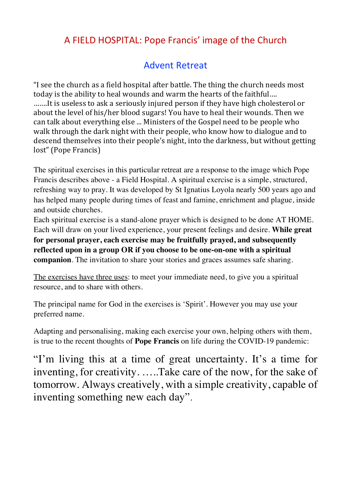# A FIELD HOSPITAL: Pope Francis' image of the Church

# Advent Retreat

"I see the church as a field hospital after battle. The thing the church needs most today is the ability to heal wounds and warm the hearts of the faithful…. …….It is useless to ask a seriously injured person if they have high cholesterol or about the level of his/her blood sugars! You have to heal their wounds. Then we can talk about everything else ... Ministers of the Gospel need to be people who walk through the dark night with their people, who know how to dialogue and to descend themselves into their people's night, into the darkness, but without getting lost" (Pope Francis)

The spiritual exercises in this particular retreat are a response to the image which Pope Francis describes above - a Field Hospital. A spiritual exercise is a simple, structured, refreshing way to pray. It was developed by St Ignatius Loyola nearly 500 years ago and has helped many people during times of feast and famine, enrichment and plague, inside and outside churches.

Each spiritual exercise is a stand-alone prayer which is designed to be done AT HOME. Each will draw on your lived experience, your present feelings and desire. **While great for personal prayer, each exercise may be fruitfully prayed, and subsequently reflected upon in a group OR if you choose to be one-on-one with a spiritual companion**. The invitation to share your stories and graces assumes safe sharing.

The exercises have three uses: to meet your immediate need, to give you a spiritual resource, and to share with others.

The principal name for God in the exercises is 'Spirit'. However you may use your preferred name.

Adapting and personalising, making each exercise your own, helping others with them, is true to the recent thoughts of **Pope Francis** on life during the COVID-19 pandemic:

"I'm living this at a time of great uncertainty. It's a time for inventing, for creativity. …..Take care of the now, for the sake of tomorrow. Always creatively, with a simple creativity, capable of inventing something new each day".